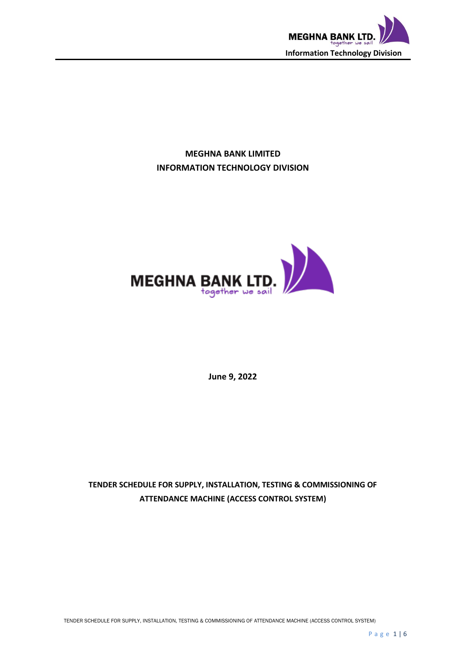

## **MEGHNA BANK LIMITED INFORMATION TECHNOLOGY DIVISION**



**June 9, 2022**

# **TENDER SCHEDULE FOR SUPPLY, INSTALLATION, TESTING & COMMISSIONING OF ATTENDANCE MACHINE (ACCESS CONTROL SYSTEM)**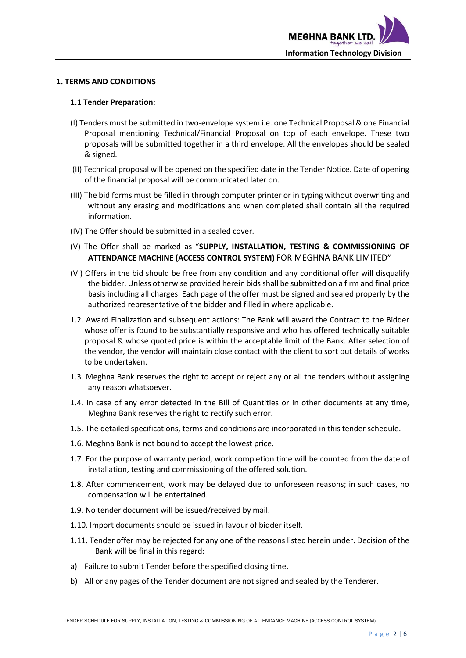

#### **1. TERMS AND CONDITIONS**

#### **1.1 Tender Preparation:**

- (I) Tenders must be submitted in two-envelope system i.e. one Technical Proposal & one Financial Proposal mentioning Technical/Financial Proposal on top of each envelope. These two proposals will be submitted together in a third envelope. All the envelopes should be sealed & signed.
- (II) Technical proposal will be opened on the specified date in the Tender Notice. Date of opening of the financial proposal will be communicated later on.
- (III) The bid forms must be filled in through computer printer or in typing without overwriting and without any erasing and modifications and when completed shall contain all the required information.
- (IV) The Offer should be submitted in a sealed cover.
- (V) The Offer shall be marked as "**SUPPLY, INSTALLATION, TESTING & COMMISSIONING OF ATTENDANCE MACHINE (ACCESS CONTROL SYSTEM)** FOR MEGHNA BANK LIMITED"
- (VI) Offers in the bid should be free from any condition and any conditional offer will disqualify the bidder. Unless otherwise provided herein bids shall be submitted on a firm and final price basis including all charges. Each page of the offer must be signed and sealed properly by the authorized representative of the bidder and filled in where applicable.
- 1.2. Award Finalization and subsequent actions: The Bank will award the Contract to the Bidder whose offer is found to be substantially responsive and who has offered technically suitable proposal & whose quoted price is within the acceptable limit of the Bank. After selection of the vendor, the vendor will maintain close contact with the client to sort out details of works to be undertaken.
- 1.3. Meghna Bank reserves the right to accept or reject any or all the tenders without assigning any reason whatsoever.
- 1.4. In case of any error detected in the Bill of Quantities or in other documents at any time, Meghna Bank reserves the right to rectify such error.
- 1.5. The detailed specifications, terms and conditions are incorporated in this tender schedule.
- 1.6. Meghna Bank is not bound to accept the lowest price.
- 1.7. For the purpose of warranty period, work completion time will be counted from the date of installation, testing and commissioning of the offered solution.
- 1.8. After commencement, work may be delayed due to unforeseen reasons; in such cases, no compensation will be entertained.
- 1.9. No tender document will be issued/received by mail.
- 1.10. Import documents should be issued in favour of bidder itself.
- 1.11. Tender offer may be rejected for any one of the reasons listed herein under. Decision of the Bank will be final in this regard:
- a) Failure to submit Tender before the specified closing time.
- b) All or any pages of the Tender document are not signed and sealed by the Tenderer.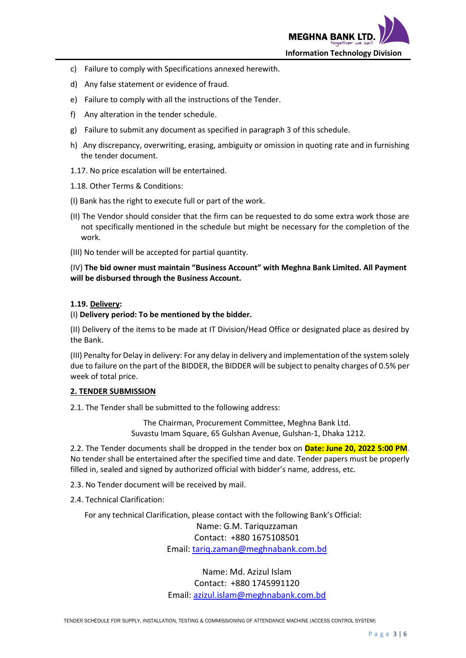

- c) Failure to comply with Specifications annexed herewith.
- d) Any false statement or evidence of fraud.
- e) Failure to comply with all the instructions of the Tender.
- f) Any alteration in the tender schedule.
- g) Failure to submit any document as specified in paragraph 3 of this schedule.
- h) Any discrepancy, overwriting, erasing, ambiguity or omission in quoting rate and in furnishing the tender document.
- 1.17. No price escalation will be entertained.
- 1.18. Other Terms & Conditions:
- (I) Bank has the right to execute full or part of the work.
- (II) The Vendor should consider that the firm can be requested to do some extra work those are not specifically mentioned in the schedule but might be necessary for the completion of the work.
- (III) No tender will be accepted for partial quantity.

(IV) **The bid owner must maintain "Business Account" with Meghna Bank Limited. All Payment will be disbursed through the Business Account.** 

#### **1.19. Delivery:**

#### (I) **Delivery period: To be mentioned by the bidder.**

(II) Delivery of the items to be made at IT Division/Head Office or designated place as desired by the Bank.

(III) Penalty for Delay in delivery: For any delay in delivery and implementation of the system solely due to failure on the part of the BIDDER, the BIDDER will be subject to penalty charges of 0.5% per week of total price.

#### **2. TENDER SUBMISSION**

2.1. The Tender shall be submitted to the following address:

The Chairman, Procurement Committee, Meghna Bank Ltd. Suvastu Imam Square, 65 Gulshan Avenue, Gulshan-1, Dhaka 1212.

2.2. The Tender documents shall be dropped in the tender box on **Date: June 20, 2022 5:00 PM**. No tender shall be entertained after the specified time and date. Tender papers must be properly filled in, sealed and signed by authorized official with bidder's name, address, etc.

2.3. No Tender document will be received by mail.

2.4. Technical Clarification:

For any technical Clarification, please contact with the following Bank's Official:

Name: G.M. Tariquzzaman Contact: +880 1675108501

Email: [tariq.zaman@meghnabank.com.bd](mailto:tariq.zaman@meghnabank.com.bd)

Name: Md. Azizul Islam Contact: +880 1745991120 Email: [azizul.islam@meghnabank.com.bd](mailto:azizul.islam@meghnabank.com.bd)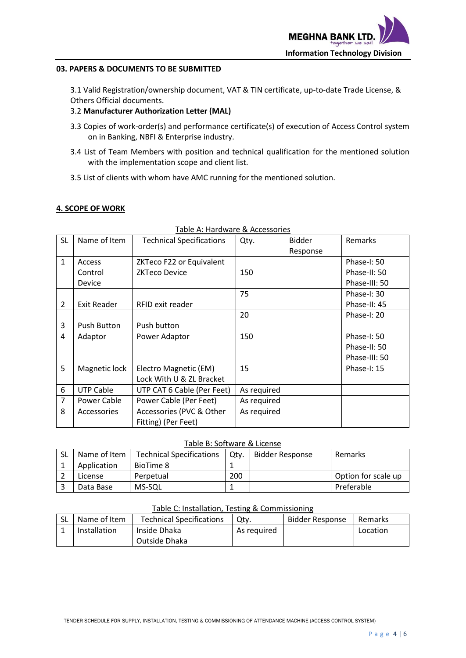

#### **03. PAPERS & DOCUMENTS TO BE SUBMITTED**

3.1 Valid Registration/ownership document, VAT & TIN certificate, up-to-date Trade License, & Others Official documents.

## 3.2 **Manufacturer Authorization Letter (MAL)**

- 3.3 Copies of work-order(s) and performance certificate(s) of execution of Access Control system on in Banking, NBFI & Enterprise industry.
- 3.4 List of Team Members with position and technical qualification for the mentioned solution with the implementation scope and client list.
- 3.5 List of clients with whom have AMC running for the mentioned solution.

#### **4. SCOPE OF WORK**

| SL             | Name of Item       | <b>Technical Specifications</b> | Qty.        | <b>Bidder</b> | Remarks       |
|----------------|--------------------|---------------------------------|-------------|---------------|---------------|
|                |                    |                                 |             | Response      |               |
| $\mathbf{1}$   | Access             | ZKTeco F22 or Equivalent        |             |               | Phase-I: 50   |
|                | Control            | <b>ZKTeco Device</b>            | 150         |               | Phase-II: 50  |
|                | Device             |                                 |             |               | Phase-III: 50 |
|                |                    |                                 | 75          |               | Phase-I: 30   |
| $\overline{2}$ | <b>Exit Reader</b> | RFID exit reader                |             |               | Phase-II: 45  |
|                |                    |                                 | 20          |               | Phase-I: 20   |
| 3              | Push Button        | Push button                     |             |               |               |
| 4              | Adaptor            | Power Adaptor                   | 150         |               | Phase-I: 50   |
|                |                    |                                 |             |               | Phase-II: 50  |
|                |                    |                                 |             |               | Phase-III: 50 |
| 5              | Magnetic lock      | Electro Magnetic (EM)           | 15          |               | Phase-I: $15$ |
|                |                    | Lock With U & ZL Bracket        |             |               |               |
| 6              | <b>UTP Cable</b>   | UTP CAT 6 Cable (Per Feet)      | As required |               |               |
| $\overline{7}$ | Power Cable        | Power Cable (Per Feet)          | As required |               |               |
| 8              | <b>Accessories</b> | Accessories (PVC & Other        | As required |               |               |
|                |                    | Fitting) (Per Feet)             |             |               |               |

## Table A: Hardware & Accessories

## Table B: Software & License

| <b>SL</b> | Name of Item | <b>Technical Specifications</b> | Otv. | <b>Bidder Response</b> | Remarks             |  |  |
|-----------|--------------|---------------------------------|------|------------------------|---------------------|--|--|
|           | Application  | BioTime 8                       |      |                        |                     |  |  |
|           | License      | Perpetual                       | 200  |                        | Option for scale up |  |  |
|           | Data Base    | MS-SQL                          |      |                        | Preferable          |  |  |

#### Table C: Installation, Testing & Commissioning

| -SL | Name of Item | <b>Technical Specifications</b> | Otv.        | Bidder Response | Remarks  |
|-----|--------------|---------------------------------|-------------|-----------------|----------|
|     | Installation | Inside Dhaka                    | As reguired |                 | Location |
|     |              | Outside Dhaka                   |             |                 |          |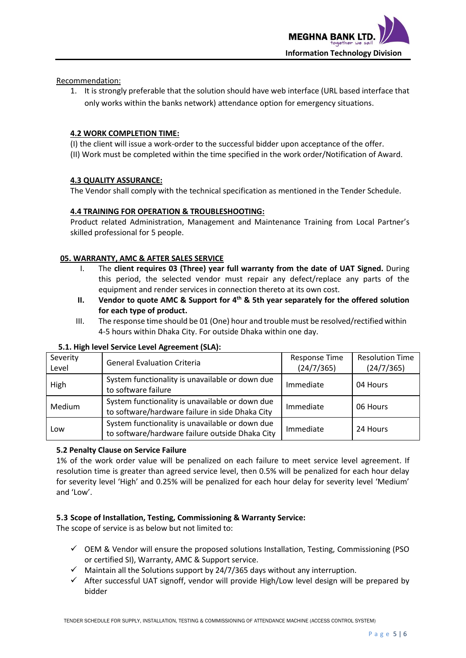

Recommendation:

1. It is strongly preferable that the solution should have web interface (URL based interface that only works within the banks network) attendance option for emergency situations.

### **4.2 WORK COMPLETION TIME:**

(I) the client will issue a work-order to the successful bidder upon acceptance of the offer. (II) Work must be completed within the time specified in the work order/Notification of Award.

#### **4.3 QUALITY ASSURANCE:**

The Vendor shall comply with the technical specification as mentioned in the Tender Schedule.

#### **4.4 TRAINING FOR OPERATION & TROUBLESHOOTING:**

Product related Administration, Management and Maintenance Training from Local Partner's skilled professional for 5 people.

#### **05. WARRANTY, AMC & AFTER SALES SERVICE**

- I. The **client requires 03 (Three) year full warranty from the date of UAT Signed.** During this period, the selected vendor must repair any defect/replace any parts of the equipment and render services in connection thereto at its own cost.
- **II.** Vendor to quote AMC & Support for 4<sup>th</sup> & 5th year separately for the offered solution **for each type of product.**
- III. The response time should be 01 (One) hour and trouble must be resolved/rectified within 4-5 hours within Dhaka City. For outside Dhaka within one day.

| Severity<br>Level | <b>General Evaluation Criteria</b>                                                                 | <b>Response Time</b><br>(24/7/365) | <b>Resolution Time</b><br>(24/7/365) |
|-------------------|----------------------------------------------------------------------------------------------------|------------------------------------|--------------------------------------|
| High              | System functionality is unavailable or down due<br>to software failure                             |                                    | 04 Hours                             |
| <b>Medium</b>     | System functionality is unavailable or down due<br>to software/hardware failure in side Dhaka City |                                    | 06 Hours                             |
| Low               | System functionality is unavailable or down due<br>to software/hardware failure outside Dhaka City | Immediate                          | 24 Hours                             |

#### **5.1. High level Service Level Agreement (SLA):**

#### **5.2 Penalty Clause on Service Failure**

1% of the work order value will be penalized on each failure to meet service level agreement. If resolution time is greater than agreed service level, then 0.5% will be penalized for each hour delay for severity level 'High' and 0.25% will be penalized for each hour delay for severity level 'Medium' and 'Low'.

#### **5.3 Scope of Installation, Testing, Commissioning & Warranty Service:**

The scope of service is as below but not limited to:

- $\checkmark$  OEM & Vendor will ensure the proposed solutions Installation, Testing, Commissioning (PSO or certified SI), Warranty, AMC & Support service.
- $\checkmark$  Maintain all the Solutions support by 24/7/365 days without any interruption.
- $\checkmark$  After successful UAT signoff, vendor will provide High/Low level design will be prepared by bidder